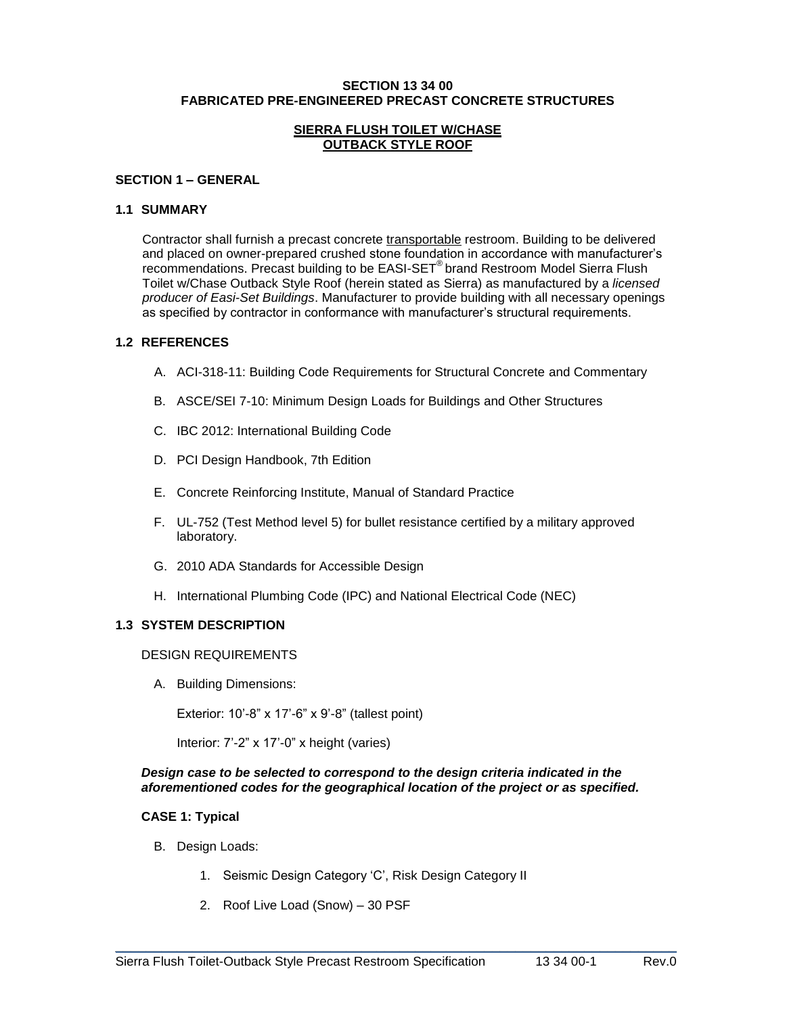#### **SECTION 13 34 00 FABRICATED PRE-ENGINEERED PRECAST CONCRETE STRUCTURES**

#### **SIERRA FLUSH TOILET W/CHASE OUTBACK STYLE ROOF**

#### **SECTION 1 – GENERAL**

#### **1.1 SUMMARY**

Contractor shall furnish a precast concrete transportable restroom. Building to be delivered and placed on owner-prepared crushed stone foundation in accordance with manufacturer's recommendations. Precast building to be EASI-SET® brand Restroom Model Sierra Flush Toilet w/Chase Outback Style Roof (herein stated as Sierra) as manufactured by a *licensed producer of Easi-Set Buildings*. Manufacturer to provide building with all necessary openings as specified by contractor in conformance with manufacturer's structural requirements.

### **1.2 REFERENCES**

- A. ACI-318-11: Building Code Requirements for Structural Concrete and Commentary
- B. ASCE/SEI 7-10: Minimum Design Loads for Buildings and Other Structures
- C. IBC 2012: International Building Code
- D. PCI Design Handbook, 7th Edition
- E. Concrete Reinforcing Institute, Manual of Standard Practice
- F. UL-752 (Test Method level 5) for bullet resistance certified by a military approved laboratory.
- G. 2010 ADA Standards for Accessible Design
- H. International Plumbing Code (IPC) and National Electrical Code (NEC)

#### **1.3 SYSTEM DESCRIPTION**

### DESIGN REQUIREMENTS

A. Building Dimensions:

Exterior: 10'-8" x 17'-6" x 9'-8" (tallest point)

Interior: 7'-2" x 17'-0" x height (varies)

### *Design case to be selected to correspond to the design criteria indicated in the aforementioned codes for the geographical location of the project or as specified.*

\_\_\_\_\_\_\_\_\_\_\_\_\_\_\_\_\_\_\_\_\_\_\_\_\_\_\_\_\_\_\_\_\_\_\_\_\_\_\_\_\_\_\_\_\_\_\_\_\_\_\_\_\_\_\_\_\_\_\_\_\_\_\_\_\_\_\_\_\_\_\_\_\_

# **CASE 1: Typical**

- B. Design Loads:
	- 1. Seismic Design Category 'C', Risk Design Category II
	- 2. Roof Live Load (Snow) 30 PSF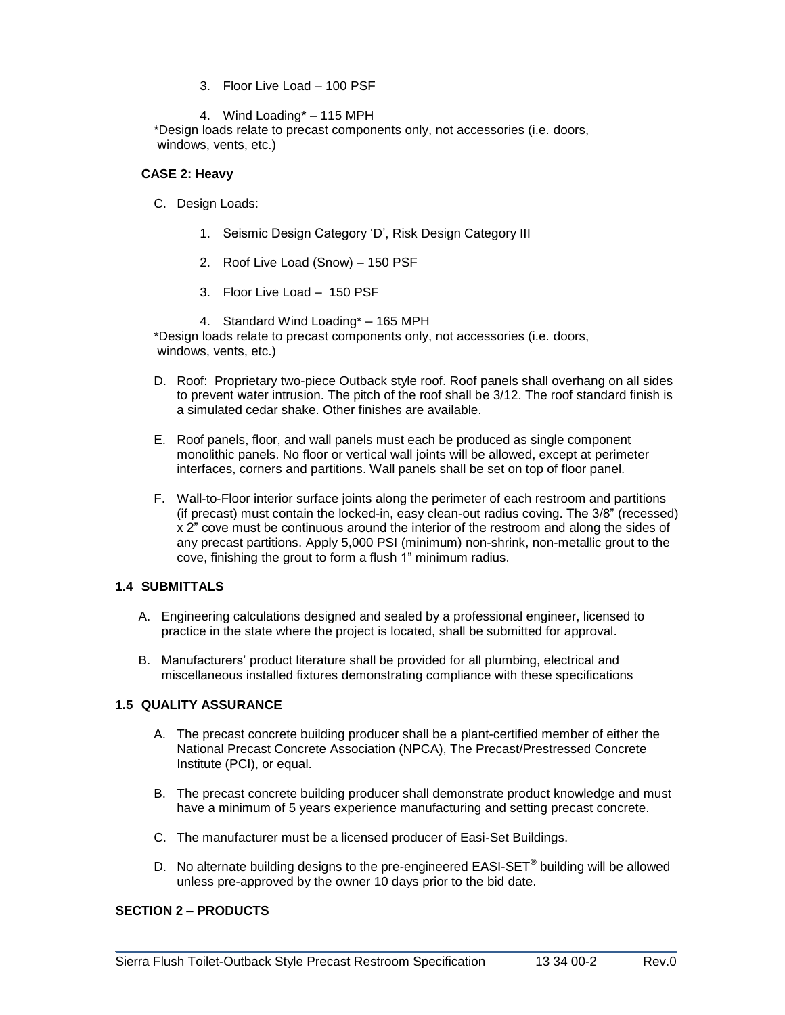- 3. Floor Live Load 100 PSF
- 4. Wind Loading\* 115 MPH

\*Design loads relate to precast components only, not accessories (i.e. doors, windows, vents, etc.)

### **CASE 2: Heavy**

- C. Design Loads:
	- 1. Seismic Design Category 'D', Risk Design Category III
	- 2. Roof Live Load (Snow) 150 PSF
	- 3. Floor Live Load 150 PSF
- 4. Standard Wind Loading\* 165 MPH \*Design loads relate to precast components only, not accessories (i.e. doors, windows, vents, etc.)
- D. Roof: Proprietary two-piece Outback style roof. Roof panels shall overhang on all sides to prevent water intrusion. The pitch of the roof shall be 3/12. The roof standard finish is a simulated cedar shake. Other finishes are available.
- E. Roof panels, floor, and wall panels must each be produced as single component monolithic panels. No floor or vertical wall joints will be allowed, except at perimeter interfaces, corners and partitions. Wall panels shall be set on top of floor panel.
- F. Wall-to-Floor interior surface joints along the perimeter of each restroom and partitions (if precast) must contain the locked-in, easy clean-out radius coving. The 3/8" (recessed) x 2" cove must be continuous around the interior of the restroom and along the sides of any precast partitions. Apply 5,000 PSI (minimum) non-shrink, non-metallic grout to the cove, finishing the grout to form a flush 1" minimum radius.

# **1.4 SUBMITTALS**

- A. Engineering calculations designed and sealed by a professional engineer, licensed to practice in the state where the project is located, shall be submitted for approval.
- B. Manufacturers' product literature shall be provided for all plumbing, electrical and miscellaneous installed fixtures demonstrating compliance with these specifications

# **1.5 QUALITY ASSURANCE**

- A. The precast concrete building producer shall be a plant-certified member of either the National Precast Concrete Association (NPCA), The Precast/Prestressed Concrete Institute (PCI), or equal.
- B. The precast concrete building producer shall demonstrate product knowledge and must have a minimum of 5 years experience manufacturing and setting precast concrete.
- C. The manufacturer must be a licensed producer of Easi-Set Buildings.
- D. No alternate building designs to the pre-engineered EASI-SET**®** building will be allowed unless pre-approved by the owner 10 days prior to the bid date.

\_\_\_\_\_\_\_\_\_\_\_\_\_\_\_\_\_\_\_\_\_\_\_\_\_\_\_\_\_\_\_\_\_\_\_\_\_\_\_\_\_\_\_\_\_\_\_\_\_\_\_\_\_\_\_\_\_\_\_\_\_\_\_\_\_\_\_\_\_\_\_\_\_

### **SECTION 2 – PRODUCTS**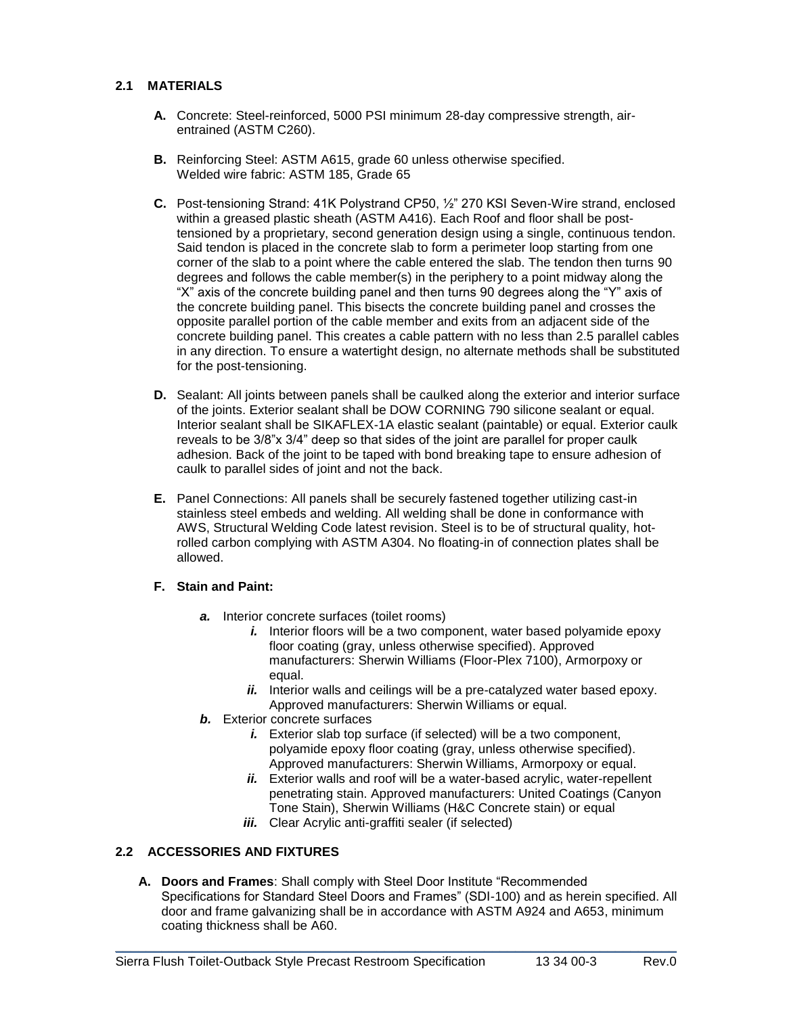# **2.1 MATERIALS**

- **A.** Concrete: Steel-reinforced, 5000 PSI minimum 28-day compressive strength, airentrained (ASTM C260).
- **B.** Reinforcing Steel: ASTM A615, grade 60 unless otherwise specified. Welded wire fabric: ASTM 185, Grade 65
- **C.** Post-tensioning Strand: 41K Polystrand CP50, ½" 270 KSI Seven-Wire strand, enclosed within a greased plastic sheath (ASTM A416). Each Roof and floor shall be posttensioned by a proprietary, second generation design using a single, continuous tendon. Said tendon is placed in the concrete slab to form a perimeter loop starting from one corner of the slab to a point where the cable entered the slab. The tendon then turns 90 degrees and follows the cable member(s) in the periphery to a point midway along the "X" axis of the concrete building panel and then turns 90 degrees along the "Y" axis of the concrete building panel. This bisects the concrete building panel and crosses the opposite parallel portion of the cable member and exits from an adjacent side of the concrete building panel. This creates a cable pattern with no less than 2.5 parallel cables in any direction. To ensure a watertight design, no alternate methods shall be substituted for the post-tensioning.
- **D.** Sealant: All joints between panels shall be caulked along the exterior and interior surface of the joints. Exterior sealant shall be DOW CORNING 790 silicone sealant or equal. Interior sealant shall be SIKAFLEX-1A elastic sealant (paintable) or equal. Exterior caulk reveals to be 3/8"x 3/4" deep so that sides of the joint are parallel for proper caulk adhesion. Back of the joint to be taped with bond breaking tape to ensure adhesion of caulk to parallel sides of joint and not the back.
- **E.** Panel Connections: All panels shall be securely fastened together utilizing cast-in stainless steel embeds and welding. All welding shall be done in conformance with AWS, Structural Welding Code latest revision. Steel is to be of structural quality, hotrolled carbon complying with ASTM A304. No floating-in of connection plates shall be allowed.

# **F. Stain and Paint:**

- *a.* Interior concrete surfaces (toilet rooms)
	- *i.* Interior floors will be a two component, water based polyamide epoxy floor coating (gray, unless otherwise specified). Approved manufacturers: Sherwin Williams (Floor-Plex 7100), Armorpoxy or equal.
	- *ii.* Interior walls and ceilings will be a pre-catalyzed water based epoxy. Approved manufacturers: Sherwin Williams or equal.
- *b.* Exterior concrete surfaces
	- *i.* Exterior slab top surface (if selected) will be a two component, polyamide epoxy floor coating (gray, unless otherwise specified). Approved manufacturers: Sherwin Williams, Armorpoxy or equal.
	- *ii.* Exterior walls and roof will be a water-based acrylic, water-repellent penetrating stain. Approved manufacturers: United Coatings (Canyon Tone Stain), Sherwin Williams (H&C Concrete stain) or equal
	- *iii.* Clear Acrylic anti-graffiti sealer (if selected)

# **2.2 ACCESSORIES AND FIXTURES**

**A. Doors and Frames**: Shall comply with Steel Door Institute "Recommended Specifications for Standard Steel Doors and Frames" (SDI-100) and as herein specified. All door and frame galvanizing shall be in accordance with ASTM A924 and A653, minimum coating thickness shall be A60.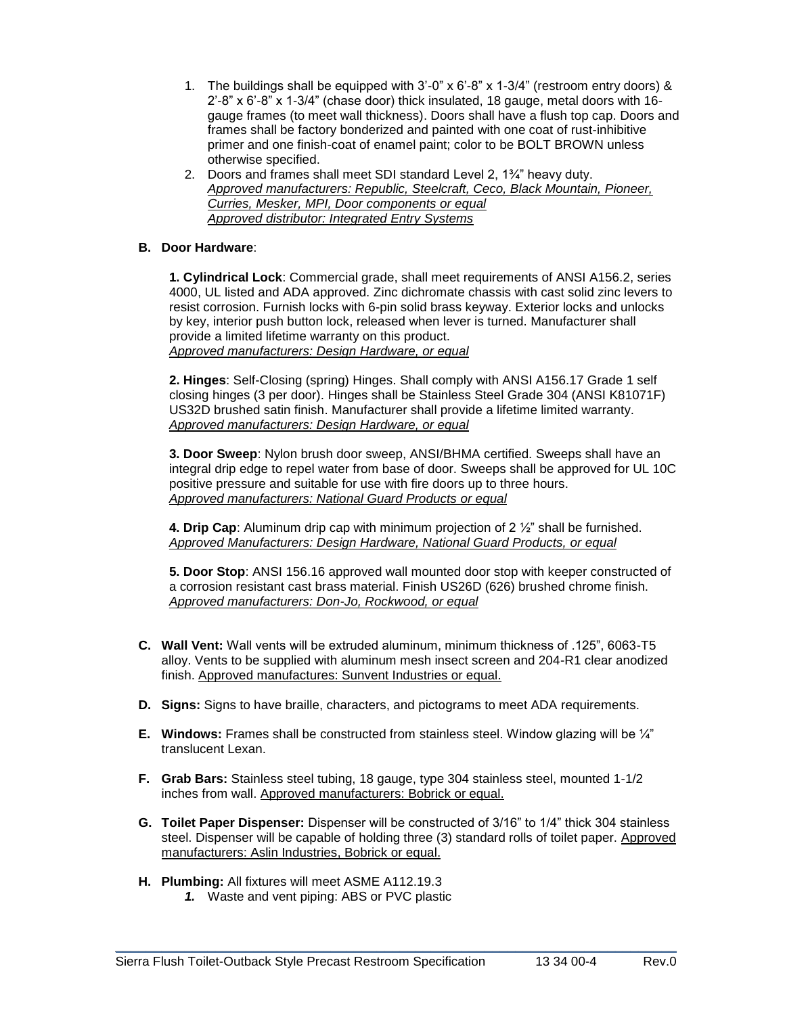- 1. The buildings shall be equipped with  $3'$ -0" x  $6'$ -8" x 1-3/4" (restroom entry doors) & 2'-8" x 6'-8" x 1-3/4" (chase door) thick insulated, 18 gauge, metal doors with 16 gauge frames (to meet wall thickness). Doors shall have a flush top cap. Doors and frames shall be factory bonderized and painted with one coat of rust-inhibitive primer and one finish-coat of enamel paint; color to be BOLT BROWN unless otherwise specified.
- 2. Doors and frames shall meet SDI standard Level 2, 1¾" heavy duty. *Approved manufacturers: Republic, Steelcraft, Ceco, Black Mountain, Pioneer, Curries, Mesker, MPI, Door components or equal Approved distributor: Integrated Entry Systems*

# **B. Door Hardware**:

**1. Cylindrical Lock**: Commercial grade, shall meet requirements of ANSI A156.2, series 4000, UL listed and ADA approved. Zinc dichromate chassis with cast solid zinc levers to resist corrosion. Furnish locks with 6-pin solid brass keyway. Exterior locks and unlocks by key, interior push button lock, released when lever is turned. Manufacturer shall provide a limited lifetime warranty on this product. *Approved manufacturers: Design Hardware, or equal*

**2. Hinges**: Self-Closing (spring) Hinges. Shall comply with ANSI A156.17 Grade 1 self closing hinges (3 per door). Hinges shall be Stainless Steel Grade 304 (ANSI K81071F) US32D brushed satin finish. Manufacturer shall provide a lifetime limited warranty. *Approved manufacturers: Design Hardware, or equal*

**3. Door Sweep**: Nylon brush door sweep, ANSI/BHMA certified. Sweeps shall have an integral drip edge to repel water from base of door. Sweeps shall be approved for UL 10C positive pressure and suitable for use with fire doors up to three hours. *Approved manufacturers: National Guard Products or equal*

**4. Drip Cap**: Aluminum drip cap with minimum projection of 2 ½" shall be furnished. *Approved Manufacturers: Design Hardware, National Guard Products, or equal*

**5. Door Stop**: ANSI 156.16 approved wall mounted door stop with keeper constructed of a corrosion resistant cast brass material. Finish US26D (626) brushed chrome finish. *Approved manufacturers: Don-Jo, Rockwood, or equal*

- **C. Wall Vent:** Wall vents will be extruded aluminum, minimum thickness of .125", 6063-T5 alloy. Vents to be supplied with aluminum mesh insect screen and 204-R1 clear anodized finish. Approved manufactures: Sunvent Industries or equal.
- **D. Signs:** Signs to have braille, characters, and pictograms to meet ADA requirements.
- **E. Windows:** Frames shall be constructed from stainless steel. Window glazing will be ¼" translucent Lexan.
- **F. Grab Bars:** Stainless steel tubing, 18 gauge, type 304 stainless steel, mounted 1-1/2 inches from wall. Approved manufacturers: Bobrick or equal.
- **G. Toilet Paper Dispenser:** Dispenser will be constructed of 3/16" to 1/4" thick 304 stainless steel. Dispenser will be capable of holding three (3) standard rolls of toilet paper. Approved manufacturers: Aslin Industries, Bobrick or equal.

- **H. Plumbing:** All fixtures will meet ASME A112.19.3
	- *1.* Waste and vent piping: ABS or PVC plastic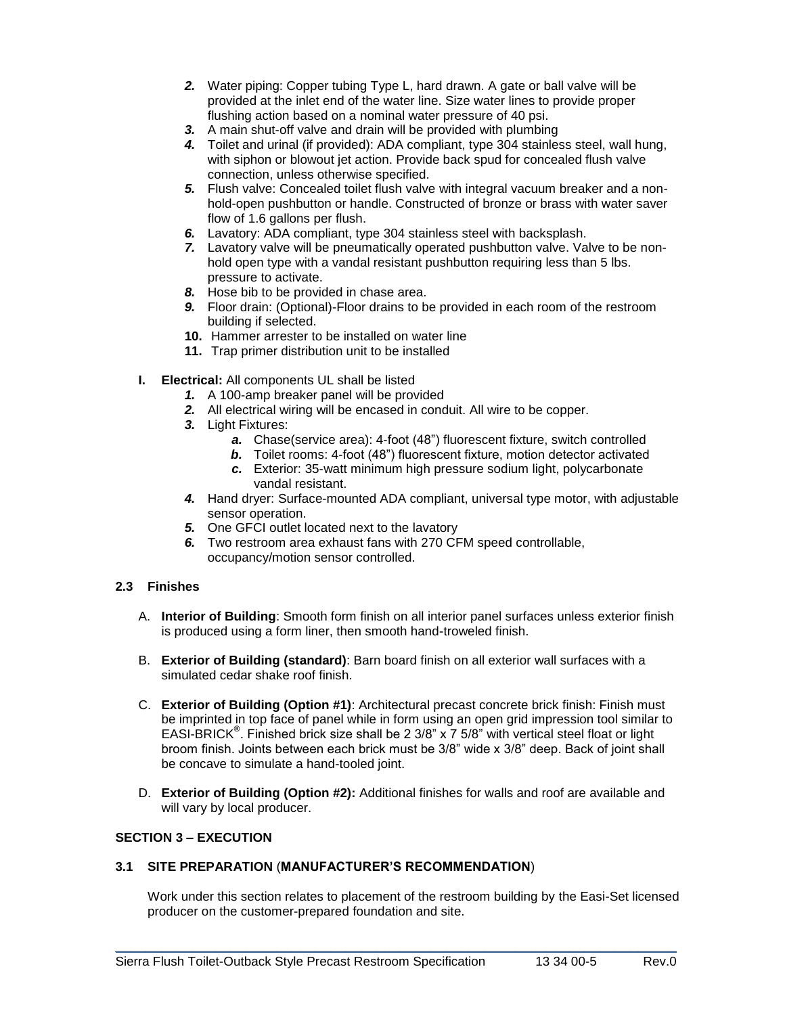- *2.* Water piping: Copper tubing Type L, hard drawn. A gate or ball valve will be provided at the inlet end of the water line. Size water lines to provide proper flushing action based on a nominal water pressure of 40 psi.
- *3.* A main shut-off valve and drain will be provided with plumbing
- *4.* Toilet and urinal (if provided): ADA compliant, type 304 stainless steel, wall hung, with siphon or blowout jet action. Provide back spud for concealed flush valve connection, unless otherwise specified.
- *5.* Flush valve: Concealed toilet flush valve with integral vacuum breaker and a nonhold-open pushbutton or handle. Constructed of bronze or brass with water saver flow of 1.6 gallons per flush.
- *6.* Lavatory: ADA compliant, type 304 stainless steel with backsplash.
- *7.* Lavatory valve will be pneumatically operated pushbutton valve. Valve to be nonhold open type with a vandal resistant pushbutton requiring less than 5 lbs. pressure to activate.
- *8.* Hose bib to be provided in chase area.
- *9.* Floor drain: (Optional)-Floor drains to be provided in each room of the restroom building if selected.
- **10.** Hammer arrester to be installed on water line
- **11.** Trap primer distribution unit to be installed
- **I. Electrical:** All components UL shall be listed
	- *1.* A 100-amp breaker panel will be provided
	- *2.* All electrical wiring will be encased in conduit. All wire to be copper.
	- *3.* Light Fixtures:
		- *a.* Chase(service area): 4-foot (48") fluorescent fixture, switch controlled
		- *b.* Toilet rooms: 4-foot (48") fluorescent fixture, motion detector activated
		- *c.* Exterior: 35-watt minimum high pressure sodium light, polycarbonate vandal resistant.
	- *4.* Hand dryer: Surface-mounted ADA compliant, universal type motor, with adjustable sensor operation.
	- *5.* One GFCI outlet located next to the lavatory
	- *6.* Two restroom area exhaust fans with 270 CFM speed controllable, occupancy/motion sensor controlled.

# **2.3 Finishes**

- A. **Interior of Building**: Smooth form finish on all interior panel surfaces unless exterior finish is produced using a form liner, then smooth hand-troweled finish.
- B. **Exterior of Building (standard)**: Barn board finish on all exterior wall surfaces with a simulated cedar shake roof finish.
- C. **Exterior of Building (Option #1)**: Architectural precast concrete brick finish: Finish must be imprinted in top face of panel while in form using an open grid impression tool similar to EASI-BRICK**®** . Finished brick size shall be 2 3/8" x 7 5/8" with vertical steel float or light broom finish. Joints between each brick must be 3/8" wide x 3/8" deep. Back of joint shall be concave to simulate a hand-tooled joint.
- D. **Exterior of Building (Option #2):** Additional finishes for walls and roof are available and will vary by local producer.

#### **SECTION 3 – EXECUTION**

#### **3.1 SITE PREPARATION** (**MANUFACTURER'S RECOMMENDATION**)

Work under this section relates to placement of the restroom building by the Easi-Set licensed producer on the customer-prepared foundation and site.